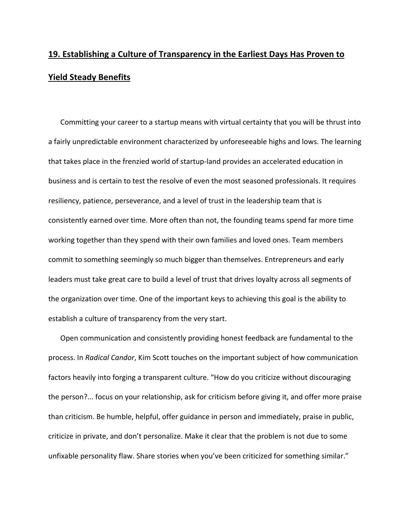## **19. Establishing a Culture of Transparency in the Earliest Days Has Proven to Yield Steady Benefits**

Committing your career to a startup means with virtual certainty that you will be thrust into a fairly unpredictable environment characterized by unforeseeable highs and lows. The learning that takes place in the frenzied world of startup‐land provides an accelerated education in business and is certain to test the resolve of even the most seasoned professionals. It requires resiliency, patience, perseverance, and a level of trust in the leadership team that is consistently earned over time. More often than not, the founding teams spend far more time working together than they spend with their own families and loved ones. Team members commit to something seemingly so much bigger than themselves. Entrepreneurs and early leaders must take great care to build a level of trust that drives loyalty across all segments of the organization over time. One of the important keys to achieving this goal is the ability to establish a culture of transparency from the very start.

Open communication and consistently providing honest feedback are fundamental to the process. In *Radical Candor*, Kim Scott touches on the important subject of how communication factors heavily into forging a transparent culture. "How do you criticize without discouraging the person?... focus on your relationship, ask for criticism before giving it, and offer more praise than criticism. Be humble, helpful, offer guidance in person and immediately, praise in public, criticize in private, and don't personalize. Make it clear that the problem is not due to some unfixable personality flaw. Share stories when you've been criticized for something similar."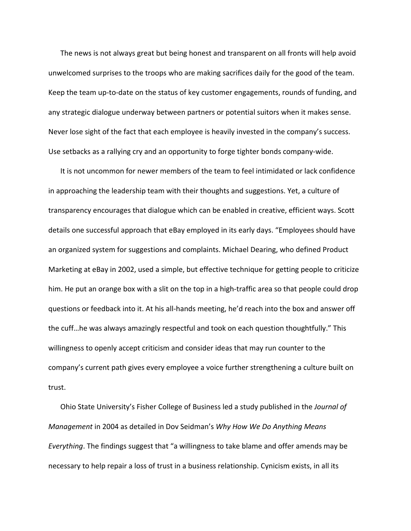The news is not always great but being honest and transparent on all fronts will help avoid unwelcomed surprises to the troops who are making sacrifices daily for the good of the team. Keep the team up‐to‐date on the status of key customer engagements, rounds of funding, and any strategic dialogue underway between partners or potential suitors when it makes sense. Never lose sight of the fact that each employee is heavily invested in the company's success. Use setbacks as a rallying cry and an opportunity to forge tighter bonds company‐wide.

It is not uncommon for newer members of the team to feel intimidated or lack confidence in approaching the leadership team with their thoughts and suggestions. Yet, a culture of transparency encourages that dialogue which can be enabled in creative, efficient ways. Scott details one successful approach that eBay employed in its early days. "Employees should have an organized system for suggestions and complaints. Michael Dearing, who defined Product Marketing at eBay in 2002, used a simple, but effective technique for getting people to criticize him. He put an orange box with a slit on the top in a high-traffic area so that people could drop questions or feedback into it. At his all‐hands meeting, he'd reach into the box and answer off the cuff…he was always amazingly respectful and took on each question thoughtfully." This willingness to openly accept criticism and consider ideas that may run counter to the company's current path gives every employee a voice further strengthening a culture built on trust.

Ohio State University's Fisher College of Business led a study published in the *Journal of Management* in 2004 as detailed in Dov Seidman's *Why How We Do Anything Means Everything*. The findings suggest that "a willingness to take blame and offer amends may be necessary to help repair a loss of trust in a business relationship. Cynicism exists, in all its